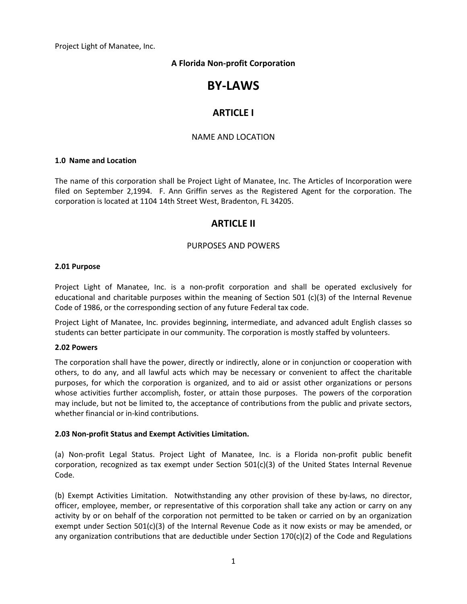Project Light of Manatee, Inc.

## **A Florida Non-profit Corporation**

# **BY-LAWS**

## **ARTICLE I**

### NAME AND LOCATION

#### **1.0 Name and Location**

The name of this corporation shall be Project Light of Manatee, Inc. The Articles of Incorporation were filed on September 2,1994. F. Ann Griffin serves as the Registered Agent for the corporation. The corporation is located at 1104 14th Street West, Bradenton, FL 34205.

## **ARTICLE II**

### PURPOSES AND POWERS

#### **2.01 Purpose**

Project Light of Manatee, Inc. is a non-profit corporation and shall be operated exclusively for educational and charitable purposes within the meaning of Section 501 (c)(3) of the Internal Revenue Code of 1986, or the corresponding section of any future Federal tax code.

Project Light of Manatee, Inc. provides beginning, intermediate, and advanced adult English classes so students can better participate in our community. The corporation is mostly staffed by volunteers.

#### **2.02 Powers**

The corporation shall have the power, directly or indirectly, alone or in conjunction or cooperation with others, to do any, and all lawful acts which may be necessary or convenient to affect the charitable purposes, for which the corporation is organized, and to aid or assist other organizations or persons whose activities further accomplish, foster, or attain those purposes. The powers of the corporation may include, but not be limited to, the acceptance of contributions from the public and private sectors, whether financial or in-kind contributions.

#### **2.03 Non-profit Status and Exempt Activities Limitation.**

(a) Non-profit Legal Status. Project Light of Manatee, Inc. is a Florida non-profit public benefit corporation, recognized as tax exempt under Section 501(c)(3) of the United States Internal Revenue Code.

(b) Exempt Activities Limitation. Notwithstanding any other provision of these by-laws, no director, officer, employee, member, or representative of this corporation shall take any action or carry on any activity by or on behalf of the corporation not permitted to be taken or carried on by an organization exempt under Section 501(c)(3) of the Internal Revenue Code as it now exists or may be amended, or any organization contributions that are deductible under Section  $170(c)(2)$  of the Code and Regulations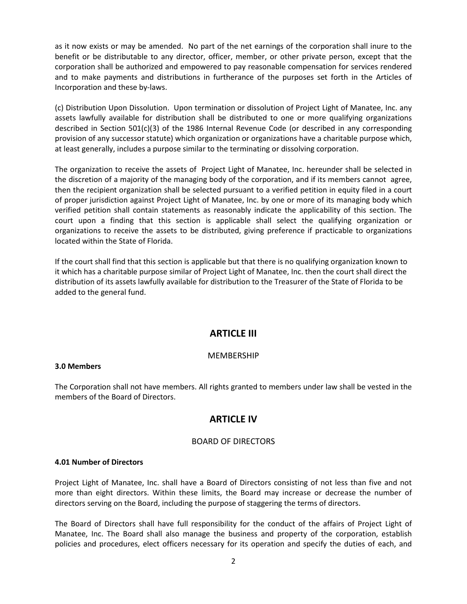as it now exists or may be amended. No part of the net earnings of the corporation shall inure to the benefit or be distributable to any director, officer, member, or other private person, except that the corporation shall be authorized and empowered to pay reasonable compensation for services rendered and to make payments and distributions in furtherance of the purposes set forth in the Articles of Incorporation and these by-laws.

(c) Distribution Upon Dissolution. Upon termination or dissolution of Project Light of Manatee, Inc. any assets lawfully available for distribution shall be distributed to one or more qualifying organizations described in Section 501(c)(3) of the 1986 Internal Revenue Code (or described in any corresponding provision of any successor statute) which organization or organizations have a charitable purpose which, at least generally, includes a purpose similar to the terminating or dissolving corporation.

The organization to receive the assets of Project Light of Manatee, Inc. hereunder shall be selected in the discretion of a majority of the managing body of the corporation, and if its members cannot agree, then the recipient organization shall be selected pursuant to a verified petition in equity filed in a court of proper jurisdiction against Project Light of Manatee, Inc. by one or more of its managing body which verified petition shall contain statements as reasonably indicate the applicability of this section. The court upon a finding that this section is applicable shall select the qualifying organization or organizations to receive the assets to be distributed, giving preference if practicable to organizations located within the State of Florida.

If the court shall find that this section is applicable but that there is no qualifying organization known to it which has a charitable purpose similar of Project Light of Manatee, Inc. then the court shall direct the distribution of its assets lawfully available for distribution to the Treasurer of the State of Florida to be added to the general fund.

## **ARTICLE III**

### MEMBERSHIP

#### **3.0 Members**

The Corporation shall not have members. All rights granted to members under law shall be vested in the members of the Board of Directors.

## **ARTICLE IV**

### BOARD OF DIRECTORS

#### **4.01 Number of Directors**

Project Light of Manatee, Inc. shall have a Board of Directors consisting of not less than five and not more than eight directors. Within these limits, the Board may increase or decrease the number of directors serving on the Board, including the purpose of staggering the terms of directors.

The Board of Directors shall have full responsibility for the conduct of the affairs of Project Light of Manatee, Inc. The Board shall also manage the business and property of the corporation, establish policies and procedures, elect officers necessary for its operation and specify the duties of each, and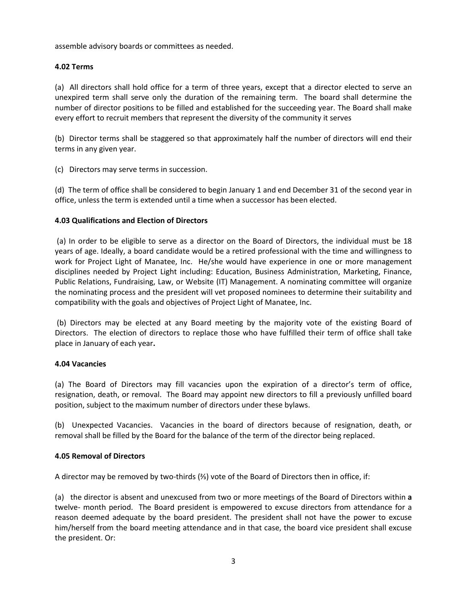assemble advisory boards or committees as needed.

### **4.02 Terms**

(a) All directors shall hold office for a term of three years, except that a director elected to serve an unexpired term shall serve only the duration of the remaining term. The board shall determine the number of director positions to be filled and established for the succeeding year. The Board shall make every effort to recruit members that represent the diversity of the community it serves

(b) Director terms shall be staggered so that approximately half the number of directors will end their terms in any given year.

(c) Directors may serve terms in succession.

(d) The term of office shall be considered to begin January 1 and end December 31 of the second year in office, unless the term is extended until a time when a successor has been elected.

### **4.03 Qualifications and Election of Directors**

(a) In order to be eligible to serve as a director on the Board of Directors, the individual must be 18 years of age. Ideally, a board candidate would be a retired professional with the time and willingness to work for Project Light of Manatee, Inc. He/she would have experience in one or more management disciplines needed by Project Light including: Education, Business Administration, Marketing, Finance, Public Relations, Fundraising, Law, or Website (IT) Management. A nominating committee will organize the nominating process and the president will vet proposed nominees to determine their suitability and compatibility with the goals and objectives of Project Light of Manatee, Inc.

(b) Directors may be elected at any Board meeting by the majority vote of the existing Board of Directors. The election of directors to replace those who have fulfilled their term of office shall take place in January of each year**.**

### **4.04 Vacancies**

(a) The Board of Directors may fill vacancies upon the expiration of a director's term of office, resignation, death, or removal. The Board may appoint new directors to fill a previously unfilled board position, subject to the maximum number of directors under these bylaws.

(b) Unexpected Vacancies. Vacancies in the board of directors because of resignation, death, or removal shall be filled by the Board for the balance of the term of the director being replaced.

### **4.05 Removal of Directors**

A director may be removed by two-thirds (⅔) vote of the Board of Directors then in office, if:

(a) the director is absent and unexcused from two or more meetings of the Board of Directors within **a** twelve- month period. The Board president is empowered to excuse directors from attendance for a reason deemed adequate by the board president. The president shall not have the power to excuse him/herself from the board meeting attendance and in that case, the board vice president shall excuse the president. Or: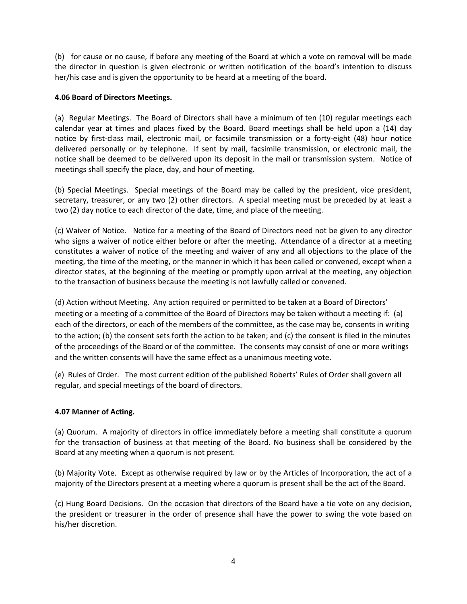(b) for cause or no cause, if before any meeting of the Board at which a vote on removal will be made the director in question is given electronic or written notification of the board's intention to discuss her/his case and is given the opportunity to be heard at a meeting of the board.

### **4.06 Board of Directors Meetings.**

(a) Regular Meetings. The Board of Directors shall have a minimum of ten (10) regular meetings each calendar year at times and places fixed by the Board. Board meetings shall be held upon a (14) day notice by first-class mail, electronic mail, or facsimile transmission or a forty-eight (48) hour notice delivered personally or by telephone. If sent by mail, facsimile transmission, or electronic mail, the notice shall be deemed to be delivered upon its deposit in the mail or transmission system. Notice of meetings shall specify the place, day, and hour of meeting.

(b) Special Meetings. Special meetings of the Board may be called by the president, vice president, secretary, treasurer, or any two (2) other directors. A special meeting must be preceded by at least a two (2) day notice to each director of the date, time, and place of the meeting.

(c) Waiver of Notice. Notice for a meeting of the Board of Directors need not be given to any director who signs a waiver of notice either before or after the meeting. Attendance of a director at a meeting constitutes a waiver of notice of the meeting and waiver of any and all objections to the place of the meeting, the time of the meeting, or the manner in which it has been called or convened, except when a director states, at the beginning of the meeting or promptly upon arrival at the meeting, any objection to the transaction of business because the meeting is not lawfully called or convened.

(d) Action without Meeting. Any action required or permitted to be taken at a Board of Directors' meeting or a meeting of a committee of the Board of Directors may be taken without a meeting if: (a) each of the directors, or each of the members of the committee, as the case may be, consents in writing to the action; (b) the consent sets forth the action to be taken; and (c) the consent is filed in the minutes of the proceedings of the Board or of the committee. The consents may consist of one or more writings and the written consents will have the same effect as a unanimous meeting vote.

(e) Rules of Order. The most current edition of the published Roberts' Rules of Order shall govern all regular, and special meetings of the board of directors.

## **4.07 Manner of Acting.**

(a) Quorum. A majority of directors in office immediately before a meeting shall constitute a quorum for the transaction of business at that meeting of the Board. No business shall be considered by the Board at any meeting when a quorum is not present.

(b) Majority Vote. Except as otherwise required by law or by the Articles of Incorporation, the act of a majority of the Directors present at a meeting where a quorum is present shall be the act of the Board.

(c) Hung Board Decisions. On the occasion that directors of the Board have a tie vote on any decision, the president or treasurer in the order of presence shall have the power to swing the vote based on his/her discretion.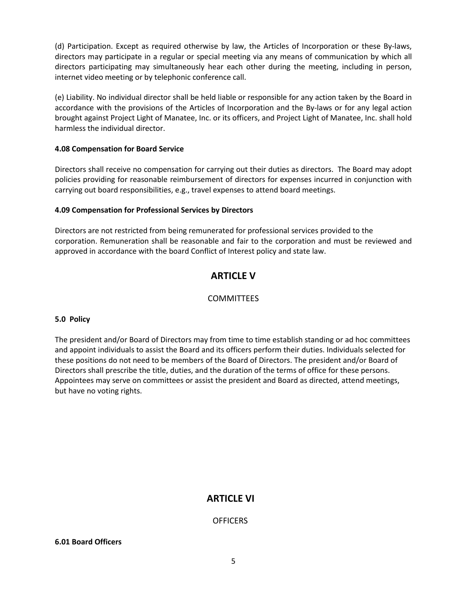(d) Participation. Except as required otherwise by law, the Articles of Incorporation or these By-laws, directors may participate in a regular or special meeting via any means of communication by which all directors participating may simultaneously hear each other during the meeting, including in person, internet video meeting or by telephonic conference call.

(e) Liability. No individual director shall be held liable or responsible for any action taken by the Board in accordance with the provisions of the Articles of Incorporation and the By-laws or for any legal action brought against Project Light of Manatee, Inc. or its officers, and Project Light of Manatee, Inc. shall hold harmless the individual director.

## **4.08 Compensation for Board Service**

Directors shall receive no compensation for carrying out their duties as directors. The Board may adopt policies providing for reasonable reimbursement of directors for expenses incurred in conjunction with carrying out board responsibilities, e.g., travel expenses to attend board meetings.

### **4.09 Compensation for Professional Services by Directors**

Directors are not restricted from being remunerated for professional services provided to the corporation. Remuneration shall be reasonable and fair to the corporation and must be reviewed and approved in accordance with the board Conflict of Interest policy and state law.

## **ARTICLE V**

## **COMMITTEES**

### **5.0 Policy**

The president and/or Board of Directors may from time to time establish standing or ad hoc committees and appoint individuals to assist the Board and its officers perform their duties. Individuals selected for these positions do not need to be members of the Board of Directors. The president and/or Board of Directors shall prescribe the title, duties, and the duration of the terms of office for these persons. Appointees may serve on committees or assist the president and Board as directed, attend meetings, but have no voting rights.

## **ARTICLE VI**

## OFFICERS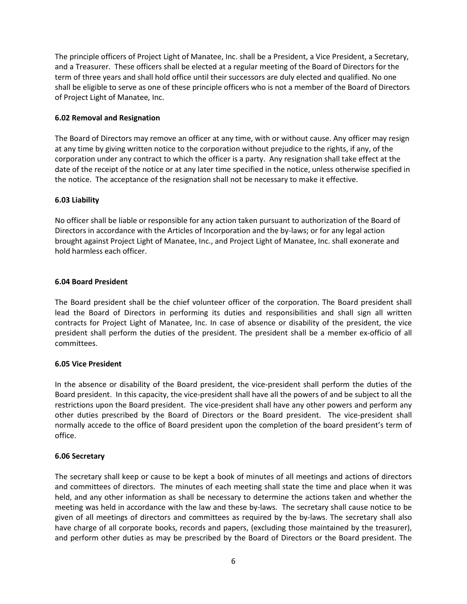The principle officers of Project Light of Manatee, Inc. shall be a President, a Vice President, a Secretary, and a Treasurer. These officers shall be elected at a regular meeting of the Board of Directors for the term of three years and shall hold office until their successors are duly elected and qualified. No one shall be eligible to serve as one of these principle officers who is not a member of the Board of Directors of Project Light of Manatee, Inc.

#### **6.02 Removal and Resignation**

The Board of Directors may remove an officer at any time, with or without cause. Any officer may resign at any time by giving written notice to the corporation without prejudice to the rights, if any, of the corporation under any contract to which the officer is a party. Any resignation shall take effect at the date of the receipt of the notice or at any later time specified in the notice, unless otherwise specified in the notice. The acceptance of the resignation shall not be necessary to make it effective.

#### **6.03 Liability**

No officer shall be liable or responsible for any action taken pursuant to authorization of the Board of Directors in accordance with the Articles of Incorporation and the by-laws; or for any legal action brought against Project Light of Manatee, Inc., and Project Light of Manatee, Inc. shall exonerate and hold harmless each officer.

#### **6.04 Board President**

The Board president shall be the chief volunteer officer of the corporation. The Board president shall lead the Board of Directors in performing its duties and responsibilities and shall sign all written contracts for Project Light of Manatee, Inc. In case of absence or disability of the president, the vice president shall perform the duties of the president. The president shall be a member ex-officio of all committees.

### **6.05 Vice President**

In the absence or disability of the Board president, the vice-president shall perform the duties of the Board president. In this capacity, the vice-president shall have all the powers of and be subject to all the restrictions upon the Board president. The vice-president shall have any other powers and perform any other duties prescribed by the Board of Directors or the Board president. The vice-president shall normally accede to the office of Board president upon the completion of the board president's term of office.

#### **6.06 Secretary**

The secretary shall keep or cause to be kept a book of minutes of all meetings and actions of directors and committees of directors. The minutes of each meeting shall state the time and place when it was held, and any other information as shall be necessary to determine the actions taken and whether the meeting was held in accordance with the law and these by-laws. The secretary shall cause notice to be given of all meetings of directors and committees as required by the by-laws. The secretary shall also have charge of all corporate books, records and papers, (excluding those maintained by the treasurer), and perform other duties as may be prescribed by the Board of Directors or the Board president. The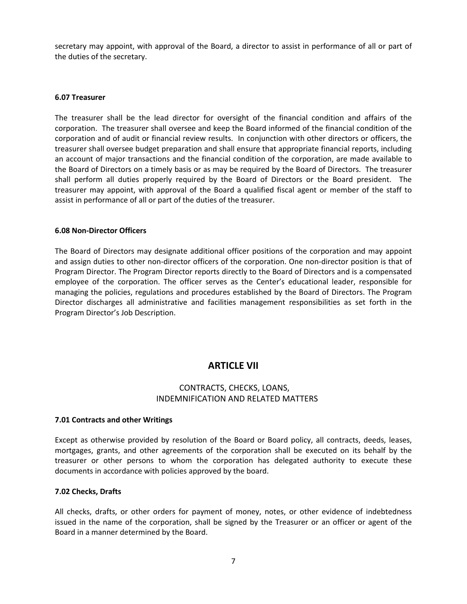secretary may appoint, with approval of the Board, a director to assist in performance of all or part of the duties of the secretary.

#### **6.07 Treasurer**

The treasurer shall be the lead director for oversight of the financial condition and affairs of the corporation. The treasurer shall oversee and keep the Board informed of the financial condition of the corporation and of audit or financial review results. In conjunction with other directors or officers, the treasurer shall oversee budget preparation and shall ensure that appropriate financial reports, including an account of major transactions and the financial condition of the corporation, are made available to the Board of Directors on a timely basis or as may be required by the Board of Directors. The treasurer shall perform all duties properly required by the Board of Directors or the Board president. The treasurer may appoint, with approval of the Board a qualified fiscal agent or member of the staff to assist in performance of all or part of the duties of the treasurer.

#### **6.08 Non-Director Officers**

The Board of Directors may designate additional officer positions of the corporation and may appoint and assign duties to other non-director officers of the corporation. One non-director position is that of Program Director. The Program Director reports directly to the Board of Directors and is a compensated employee of the corporation. The officer serves as the Center's educational leader, responsible for managing the policies, regulations and procedures established by the Board of Directors. The Program Director discharges all administrative and facilities management responsibilities as set forth in the Program Director's Job Description.

## **ARTICLE VII**

## CONTRACTS, CHECKS, LOANS, INDEMNIFICATION AND RELATED MATTERS

#### **7.01 Contracts and other Writings**

Except as otherwise provided by resolution of the Board or Board policy, all contracts, deeds, leases, mortgages, grants, and other agreements of the corporation shall be executed on its behalf by the treasurer or other persons to whom the corporation has delegated authority to execute these documents in accordance with policies approved by the board.

#### **7.02 Checks, Drafts**

All checks, drafts, or other orders for payment of money, notes, or other evidence of indebtedness issued in the name of the corporation, shall be signed by the Treasurer or an officer or agent of the Board in a manner determined by the Board.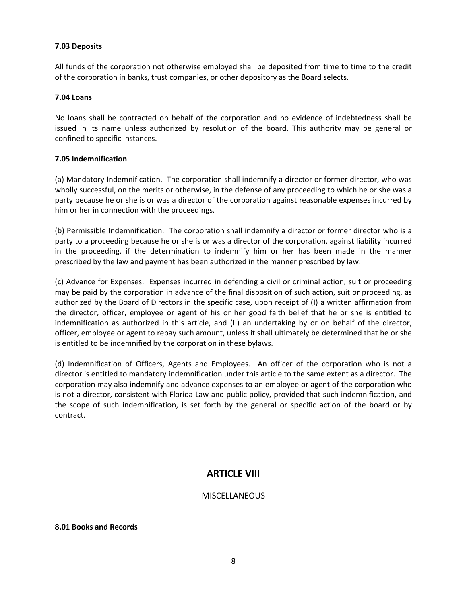#### **7.03 Deposits**

All funds of the corporation not otherwise employed shall be deposited from time to time to the credit of the corporation in banks, trust companies, or other depository as the Board selects.

#### **7.04 Loans**

No loans shall be contracted on behalf of the corporation and no evidence of indebtedness shall be issued in its name unless authorized by resolution of the board. This authority may be general or confined to specific instances.

### **7.05 Indemnification**

(a) Mandatory Indemnification. The corporation shall indemnify a director or former director, who was wholly successful, on the merits or otherwise, in the defense of any proceeding to which he or she was a party because he or she is or was a director of the corporation against reasonable expenses incurred by him or her in connection with the proceedings.

(b) Permissible Indemnification. The corporation shall indemnify a director or former director who is a party to a proceeding because he or she is or was a director of the corporation, against liability incurred in the proceeding, if the determination to indemnify him or her has been made in the manner prescribed by the law and payment has been authorized in the manner prescribed by law.

(c) Advance for Expenses. Expenses incurred in defending a civil or criminal action, suit or proceeding may be paid by the corporation in advance of the final disposition of such action, suit or proceeding, as authorized by the Board of Directors in the specific case, upon receipt of (I) a written affirmation from the director, officer, employee or agent of his or her good faith belief that he or she is entitled to indemnification as authorized in this article, and (II) an undertaking by or on behalf of the director, officer, employee or agent to repay such amount, unless it shall ultimately be determined that he or she is entitled to be indemnified by the corporation in these bylaws.

(d) Indemnification of Officers, Agents and Employees. An officer of the corporation who is not a director is entitled to mandatory indemnification under this article to the same extent as a director. The corporation may also indemnify and advance expenses to an employee or agent of the corporation who is not a director, consistent with Florida Law and public policy, provided that such indemnification, and the scope of such indemnification, is set forth by the general or specific action of the board or by contract.

## **ARTICLE VIII**

### **MISCELLANEOUS**

#### **8.01 Books and Records**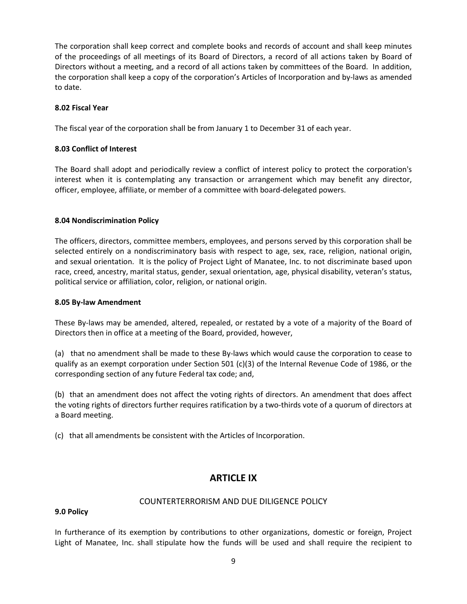The corporation shall keep correct and complete books and records of account and shall keep minutes of the proceedings of all meetings of its Board of Directors, a record of all actions taken by Board of Directors without a meeting, and a record of all actions taken by committees of the Board. In addition, the corporation shall keep a copy of the corporation's Articles of Incorporation and by-laws as amended to date.

### **8.02 Fiscal Year**

The fiscal year of the corporation shall be from January 1 to December 31 of each year.

## **8.03 Conflict of Interest**

The Board shall adopt and periodically review a conflict of interest policy to protect the corporation's interest when it is contemplating any transaction or arrangement which may benefit any director, officer, employee, affiliate, or member of a committee with board-delegated powers.

### **8.04 Nondiscrimination Policy**

The officers, directors, committee members, employees, and persons served by this corporation shall be selected entirely on a nondiscriminatory basis with respect to age, sex, race, religion, national origin, and sexual orientation. It is the policy of Project Light of Manatee, Inc. to not discriminate based upon race, creed, ancestry, marital status, gender, sexual orientation, age, physical disability, veteran's status, political service or affiliation, color, religion, or national origin.

### **8.05 By-law Amendment**

These By-laws may be amended, altered, repealed, or restated by a vote of a majority of the Board of Directors then in office at a meeting of the Board, provided, however,

(a) that no amendment shall be made to these By-laws which would cause the corporation to cease to qualify as an exempt corporation under Section 501 (c)(3) of the Internal Revenue Code of 1986, or the corresponding section of any future Federal tax code; and,

(b) that an amendment does not affect the voting rights of directors. An amendment that does affect the voting rights of directors further requires ratification by a two-thirds vote of a quorum of directors at a Board meeting.

(c) that all amendments be consistent with the Articles of Incorporation.

## **ARTICLE IX**

### COUNTERTERRORISM AND DUE DILIGENCE POLICY

### **9.0 Policy**

In furtherance of its exemption by contributions to other organizations, domestic or foreign, Project Light of Manatee, Inc. shall stipulate how the funds will be used and shall require the recipient to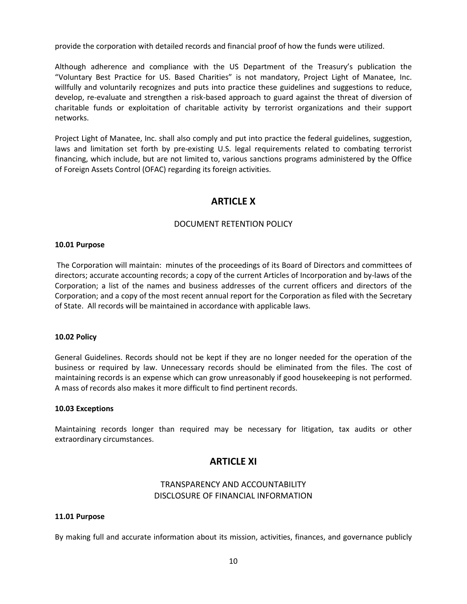provide the corporation with detailed records and financial proof of how the funds were utilized.

Although adherence and compliance with the US Department of the Treasury's publication the "Voluntary Best Practice for US. Based Charities" is not mandatory, Project Light of Manatee, Inc. willfully and voluntarily recognizes and puts into practice these guidelines and suggestions to reduce, develop, re-evaluate and strengthen a risk-based approach to guard against the threat of diversion of charitable funds or exploitation of charitable activity by terrorist organizations and their support networks.

Project Light of Manatee, Inc. shall also comply and put into practice the federal guidelines, suggestion, laws and limitation set forth by pre-existing U.S. legal requirements related to combating terrorist financing, which include, but are not limited to, various sanctions programs administered by the Office of Foreign Assets Control (OFAC) regarding its foreign activities.

## **ARTICLE X**

## DOCUMENT RETENTION POLICY

#### **10.01 Purpose**

The Corporation will maintain: minutes of the proceedings of its Board of Directors and committees of directors; accurate accounting records; a copy of the current Articles of Incorporation and by-laws of the Corporation; a list of the names and business addresses of the current officers and directors of the Corporation; and a copy of the most recent annual report for the Corporation as filed with the Secretary of State. All records will be maintained in accordance with applicable laws.

#### **10.02 Policy**

General Guidelines. Records should not be kept if they are no longer needed for the operation of the business or required by law. Unnecessary records should be eliminated from the files. The cost of maintaining records is an expense which can grow unreasonably if good housekeeping is not performed. A mass of records also makes it more difficult to find pertinent records.

#### **10.03 Exceptions**

Maintaining records longer than required may be necessary for litigation, tax audits or other extraordinary circumstances.

## **ARTICLE XI**

## TRANSPARENCY AND ACCOUNTABILITY DISCLOSURE OF FINANCIAL INFORMATION

#### **11.01 Purpose**

By making full and accurate information about its mission, activities, finances, and governance publicly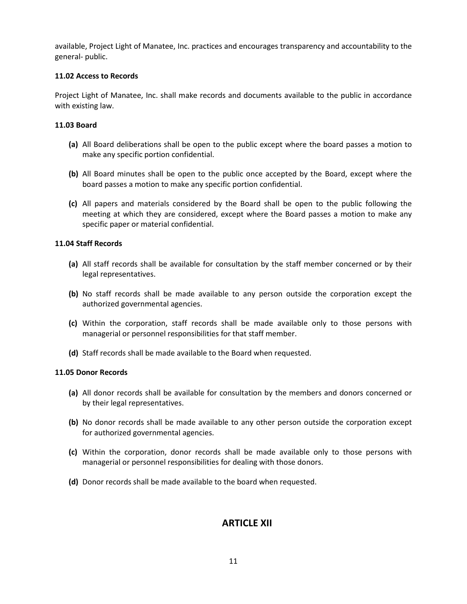available, Project Light of Manatee, Inc. practices and encourages transparency and accountability to the general- public.

#### **11.02 Access to Records**

Project Light of Manatee, Inc. shall make records and documents available to the public in accordance with existing law.

#### **11.03 Board**

- **(a)** All Board deliberations shall be open to the public except where the board passes a motion to make any specific portion confidential.
- **(b)** All Board minutes shall be open to the public once accepted by the Board, except where the board passes a motion to make any specific portion confidential.
- **(c)** All papers and materials considered by the Board shall be open to the public following the meeting at which they are considered, except where the Board passes a motion to make any specific paper or material confidential.

#### **11.04 Staff Records**

- **(a)** All staff records shall be available for consultation by the staff member concerned or by their legal representatives.
- **(b)** No staff records shall be made available to any person outside the corporation except the authorized governmental agencies.
- **(c)** Within the corporation, staff records shall be made available only to those persons with managerial or personnel responsibilities for that staff member.
- **(d)** Staff records shall be made available to the Board when requested.

#### **11.05 Donor Records**

- **(a)** All donor records shall be available for consultation by the members and donors concerned or by their legal representatives.
- **(b)** No donor records shall be made available to any other person outside the corporation except for authorized governmental agencies.
- **(c)** Within the corporation, donor records shall be made available only to those persons with managerial or personnel responsibilities for dealing with those donors.
- **(d)** Donor records shall be made available to the board when requested.

## **ARTICLE XII**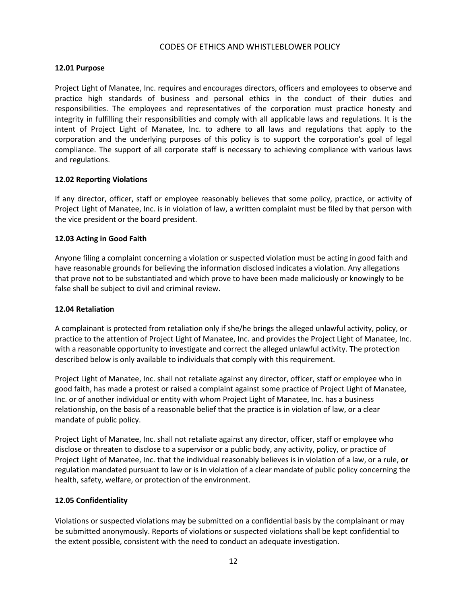### CODES OF ETHICS AND WHISTLEBLOWER POLICY

## **12.01 Purpose**

Project Light of Manatee, Inc. requires and encourages directors, officers and employees to observe and practice high standards of business and personal ethics in the conduct of their duties and responsibilities. The employees and representatives of the corporation must practice honesty and integrity in fulfilling their responsibilities and comply with all applicable laws and regulations. It is the intent of Project Light of Manatee, Inc. to adhere to all laws and regulations that apply to the corporation and the underlying purposes of this policy is to support the corporation's goal of legal compliance. The support of all corporate staff is necessary to achieving compliance with various laws and regulations.

### **12.02 Reporting Violations**

If any director, officer, staff or employee reasonably believes that some policy, practice, or activity of Project Light of Manatee, Inc. is in violation of law, a written complaint must be filed by that person with the vice president or the board president.

## **12.03 Acting in Good Faith**

Anyone filing a complaint concerning a violation or suspected violation must be acting in good faith and have reasonable grounds for believing the information disclosed indicates a violation. Any allegations that prove not to be substantiated and which prove to have been made maliciously or knowingly to be false shall be subject to civil and criminal review.

### **12.04 Retaliation**

A complainant is protected from retaliation only if she/he brings the alleged unlawful activity, policy, or practice to the attention of Project Light of Manatee, Inc. and provides the Project Light of Manatee, Inc. with a reasonable opportunity to investigate and correct the alleged unlawful activity. The protection described below is only available to individuals that comply with this requirement.

Project Light of Manatee, Inc. shall not retaliate against any director, officer, staff or employee who in good faith, has made a protest or raised a complaint against some practice of Project Light of Manatee, Inc. or of another individual or entity with whom Project Light of Manatee, Inc. has a business relationship, on the basis of a reasonable belief that the practice is in violation of law, or a clear mandate of public policy.

Project Light of Manatee, Inc. shall not retaliate against any director, officer, staff or employee who disclose or threaten to disclose to a supervisor or a public body, any activity, policy, or practice of Project Light of Manatee, Inc. that the individual reasonably believes is in violation of a law, or a rule, **or** regulation mandated pursuant to law or is in violation of a clear mandate of public policy concerning the health, safety, welfare, or protection of the environment.

### **12.05 Confidentiality**

Violations or suspected violations may be submitted on a confidential basis by the complainant or may be submitted anonymously. Reports of violations or suspected violations shall be kept confidential to the extent possible, consistent with the need to conduct an adequate investigation.